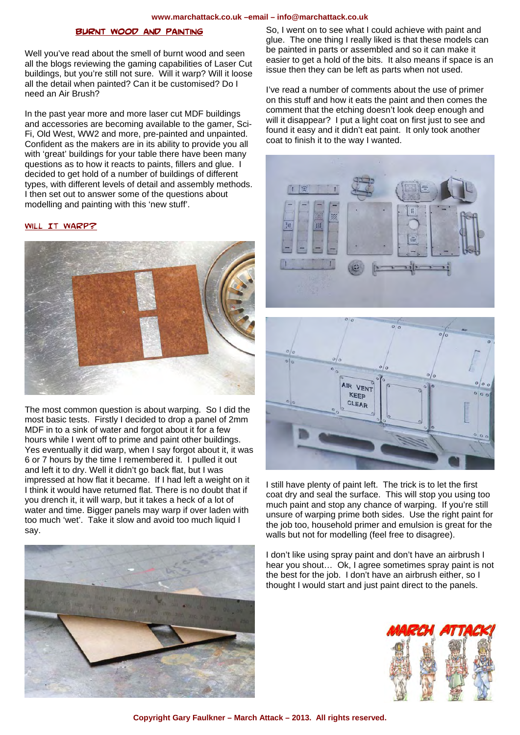#### **www.marchattack.co.uk –email – info@marchattack.co.uk**

## **RNT WOOD AND PAINTING**

Well you've read about the smell of burnt wood and seen all the blogs reviewing the gaming capabilities of Laser Cut buildings, but you're still not sure. Will it warp? Will it loose all the detail when painted? Can it be customised? Do I need an Air Brush?

In the past year more and more laser cut MDF buildings and accessories are becoming available to the gamer, Sci-Fi, Old West, WW2 and more, pre-painted and unpainted. Confident as the makers are in its ability to provide you all with 'great' buildings for your table there have been many questions as to how it reacts to paints, fillers and glue. I decided to get hold of a number of buildings of different types, with different levels of detail and assembly methods. I then set out to answer some of the questions about modelling and painting with this 'new stuff'.

## WILL IT WARP?



The most common question is about warping. So I did the most basic tests. Firstly I decided to drop a panel of 2mm MDF in to a sink of water and forgot about it for a few hours while I went off to prime and paint other buildings. Yes eventually it did warp, when I say forgot about it, it was 6 or 7 hours by the time I remembered it. I pulled it out and left it to dry. Well it didn't go back flat, but I was impressed at how flat it became. If I had left a weight on it I think it would have returned flat. There is no doubt that if you drench it, it will warp, but it takes a heck of a lot of water and time. Bigger panels may warp if over laden with too much 'wet'. Take it slow and avoid too much liquid I say.



So, I went on to see what I could achieve with paint and glue. The one thing I really liked is that these models can be painted in parts or assembled and so it can make it easier to get a hold of the bits. It also means if space is an issue then they can be left as parts when not used.

I've read a number of comments about the use of primer on this stuff and how it eats the paint and then comes the comment that the etching doesn't look deep enough and will it disappear? I put a light coat on first just to see and found it easy and it didn't eat paint. It only took another coat to finish it to the way I wanted.





I still have plenty of paint left. The trick is to let the first coat dry and seal the surface. This will stop you using too much paint and stop any chance of warping. If you're still unsure of warping prime both sides. Use the right paint for the job too, household primer and emulsion is great for the walls but not for modelling (feel free to disagree).

I don't like using spray paint and don't have an airbrush I hear you shout… Ok, I agree sometimes spray paint is not the best for the job. I don't have an airbrush either, so I thought I would start and just paint direct to the panels.

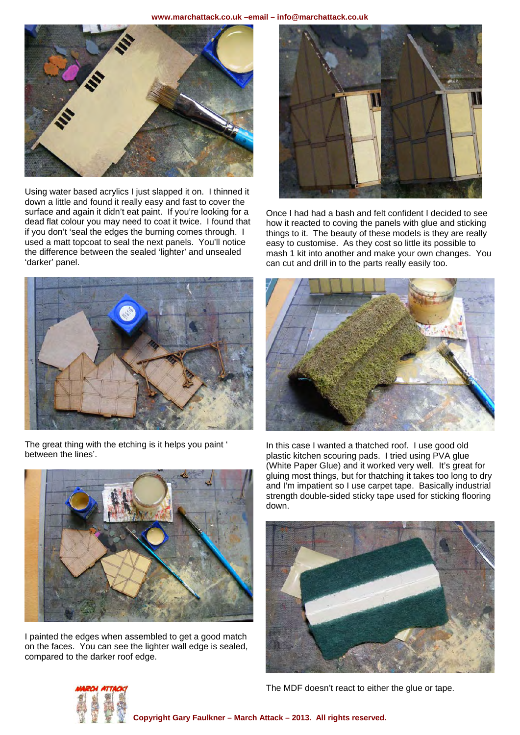

Using water based acrylics I just slapped it on. I thinned it down a little and found it really easy and fast to cover the surface and again it didn't eat paint. If you're looking for a dead flat colour you may need to coat it twice. I found that if you don't 'seal the edges the burning comes through. I used a matt topcoat to seal the next panels. You'll notice the difference between the sealed 'lighter' and unsealed 'darker' panel.



The great thing with the etching is it helps you paint ' between the lines'.



I painted the edges when assembled to get a good match on the faces. You can see the lighter wall edge is sealed, compared to the darker roof edge.



Once I had had a bash and felt confident I decided to see how it reacted to coving the panels with glue and sticking things to it. The beauty of these models is they are really easy to customise. As they cost so little its possible to mash 1 kit into another and make your own changes. You can cut and drill in to the parts really easily too.



In this case I wanted a thatched roof. I use good old plastic kitchen scouring pads. I tried using PVA glue (White Paper Glue) and it worked very well. It's great for gluing most things, but for thatching it takes too long to dry and I'm impatient so I use carpet tape. Basically industrial strength double-sided sticky tape used for sticking flooring down.





The MDF doesn't react to either the glue or tape.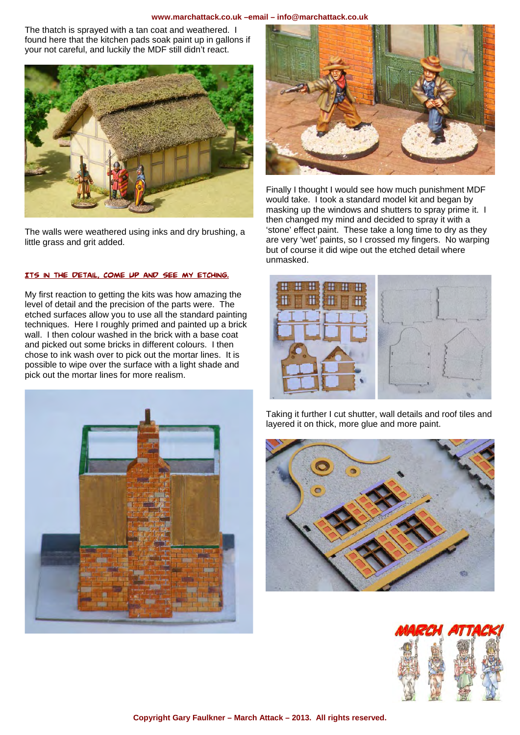### **www.marchattack.co.uk –email – info@marchattack.co.uk**

The thatch is sprayed with a tan coat and weathered. I found here that the kitchen pads soak paint up in gallons if your not careful, and luckily the MDF still didn't react.



The walls were weathered using inks and dry brushing, a little grass and grit added.

# Its in the detail, come up and see my etching.

My first reaction to getting the kits was how amazing the level of detail and the precision of the parts were. The etched surfaces allow you to use all the standard painting techniques. Here I roughly primed and painted up a brick wall. I then colour washed in the brick with a base coat and picked out some bricks in different colours. I then chose to ink wash over to pick out the mortar lines. It is possible to wipe over the surface with a light shade and pick out the mortar lines for more realism.





Finally I thought I would see how much punishment MDF would take. I took a standard model kit and began by masking up the windows and shutters to spray prime it. I then changed my mind and decided to spray it with a 'stone' effect paint. These take a long time to dry as they are very 'wet' paints, so I crossed my fingers. No warping but of course it did wipe out the etched detail where unmasked.



Taking it further I cut shutter, wall details and roof tiles and layered it on thick, more glue and more paint.



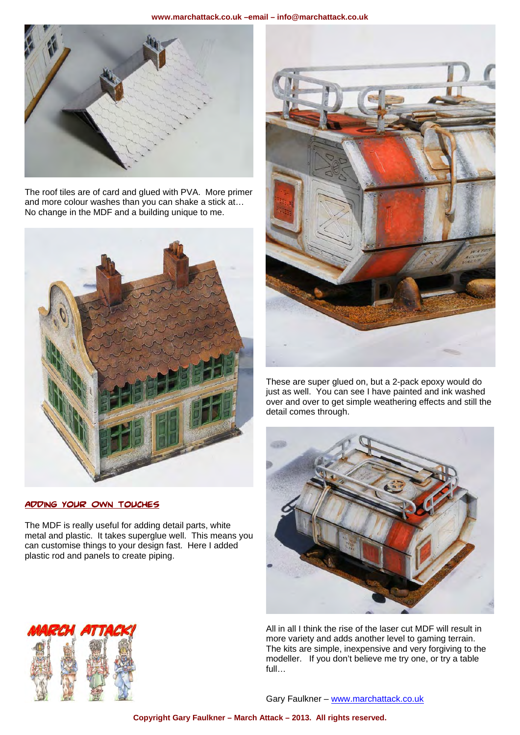

The roof tiles are of card and glued with PVA. More primer and more colour washes than you can shake a stick at... No change in the MDF and a building unique to me.



Adding Your Own Touches

The MDF is really useful for adding detail parts, white metal and plastic. It takes superglue well. This means you can customise things to your design fast. Here I added plastic rod and panels to create piping.



These are super glued on, but a 2-pack epoxy would do just as well. You can see I have painted and ink washed over and over to get simple weathering effects and still the detail comes through.



All in all I think the rise of the laser cut MDF will result in more variety and adds another level to gaming terrain. The kits are simple, inexpensive and very forgiving to the modeller. If you don't believe me try one, or try a table full…



Gary Faulkner - www.marchattack.co.uk